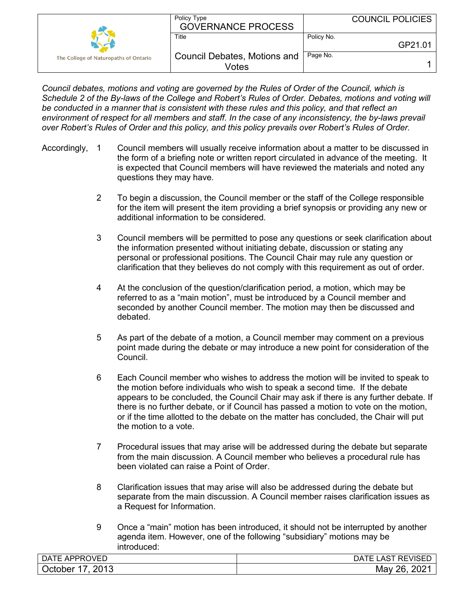|                                       | Policy Type<br><b>GOVERNANCE PROCESS</b>     |            | <b>COUNCIL POLICIES</b> |
|---------------------------------------|----------------------------------------------|------------|-------------------------|
|                                       | Title                                        | Policy No. | GP21.01                 |
| The College of Naturopaths of Ontario | <b>Council Debates, Motions and</b><br>Votes | Page No.   |                         |

*Council debates, motions and voting are governed by the Rules of Order of the Council, which is Schedule 2 of the By-laws of the College and Robert's Rules of Order. Debates, motions and voting will be conducted in a manner that is consistent with these rules and this policy, and that reflect an environment of respect for all members and staff. In the case of any inconsistency, the by-laws prevail over Robert's Rules of Order and this policy, and this policy prevails over Robert's Rules of Order.*

- Accordingly, 1 Council members will usually receive information about a matter to be discussed in the form of a briefing note or written report circulated in advance of the meeting. It is expected that Council members will have reviewed the materials and noted any questions they may have.
	- 2 To begin a discussion, the Council member or the staff of the College responsible for the item will present the item providing a brief synopsis or providing any new or additional information to be considered.
	- 3 Council members will be permitted to pose any questions or seek clarification about the information presented without initiating debate, discussion or stating any personal or professional positions. The Council Chair may rule any question or clarification that they believes do not comply with this requirement as out of order.
	- 4 At the conclusion of the question/clarification period, a motion, which may be referred to as a "main motion", must be introduced by a Council member and seconded by another Council member. The motion may then be discussed and debated.
	- 5 As part of the debate of a motion, a Council member may comment on a previous point made during the debate or may introduce a new point for consideration of the Council.
	- 6 Each Council member who wishes to address the motion will be invited to speak to the motion before individuals who wish to speak a second time. If the debate appears to be concluded, the Council Chair may ask if there is any further debate. If there is no further debate, or if Council has passed a motion to vote on the motion, or if the time allotted to the debate on the matter has concluded, the Chair will put the motion to a vote.
	- 7 Procedural issues that may arise will be addressed during the debate but separate from the main discussion. A Council member who believes a procedural rule has been violated can raise a Point of Order.
	- 8 Clarification issues that may arise will also be addressed during the debate but separate from the main discussion. A Council member raises clarification issues as a Request for Information.
	- 9 Once a "main" motion has been introduced, it should not be interrupted by another agenda item. However, one of the following "subsidiary" motions may be introduced:

| )VED<br>$\sim$<br><sup>-</sup> APPRC<br>DA<br>. . | <b>REVISED</b><br>JA.<br>AЭ |
|---------------------------------------------------|-----------------------------|
| 2013<br>October<br>-                              | റററ<br>າຂ<br>May<br>ZUZ     |